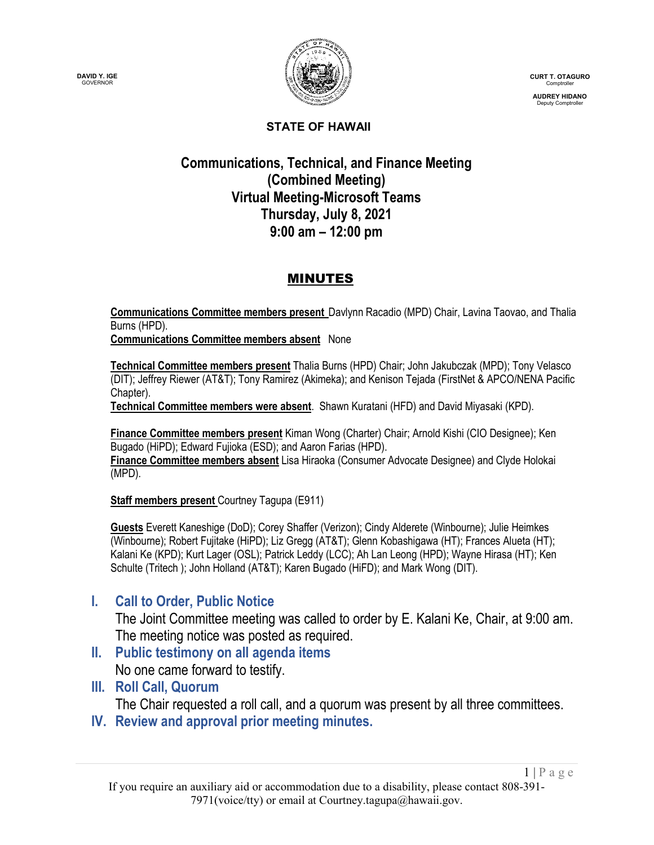



**CURT T. OTAGURO** Comptroller

**AUDREY HIDANO** Deputy Comptroller

#### **STATE OF HAWAII**

### **Communications, Technical, and Finance Meeting (Combined Meeting) Virtual Meeting-Microsoft Teams Thursday, July 8, 2021 9:00 am – 12:00 pm**

### MINUTES

**Communications Committee members present** Davlynn Racadio (MPD) Chair, Lavina Taovao, and Thalia Burns (HPD).

**Communications Committee members absent** None

**Technical Committee members present** Thalia Burns (HPD) Chair; John Jakubczak (MPD); Tony Velasco (DIT); Jeffrey Riewer (AT&T); Tony Ramirez (Akimeka); and Kenison Tejada (FirstNet & APCO/NENA Pacific Chapter).

**Technical Committee members were absent**. Shawn Kuratani (HFD) and David Miyasaki (KPD).

**Finance Committee members present** Kiman Wong (Charter) Chair; Arnold Kishi (CIO Designee); Ken Bugado (HiPD); Edward Fujioka (ESD); and Aaron Farias (HPD). **Finance Committee members absent** Lisa Hiraoka (Consumer Advocate Designee) and Clyde Holokai (MPD).

**Staff members present** Courtney Tagupa (E911)

**Guests** Everett Kaneshige (DoD); Corey Shaffer (Verizon); Cindy Alderete (Winbourne); Julie Heimkes (Winbourne); Robert Fujitake (HiPD); Liz Gregg (AT&T); Glenn Kobashigawa (HT); Frances Alueta (HT); Kalani Ke (KPD); Kurt Lager (OSL); Patrick Leddy (LCC); Ah Lan Leong (HPD); Wayne Hirasa (HT); Ken Schulte (Tritech ); John Holland (AT&T); Karen Bugado (HiFD); and Mark Wong (DIT).

# **I. Call to Order, Public Notice**

The Joint Committee meeting was called to order by E. Kalani Ke, Chair, at 9:00 am. The meeting notice was posted as required.

- **II. Public testimony on all agenda items** No one came forward to testify.
- **III. Roll Call, Quorum**

The Chair requested a roll call, and a quorum was present by all three committees.

**IV. Review and approval prior meeting minutes.**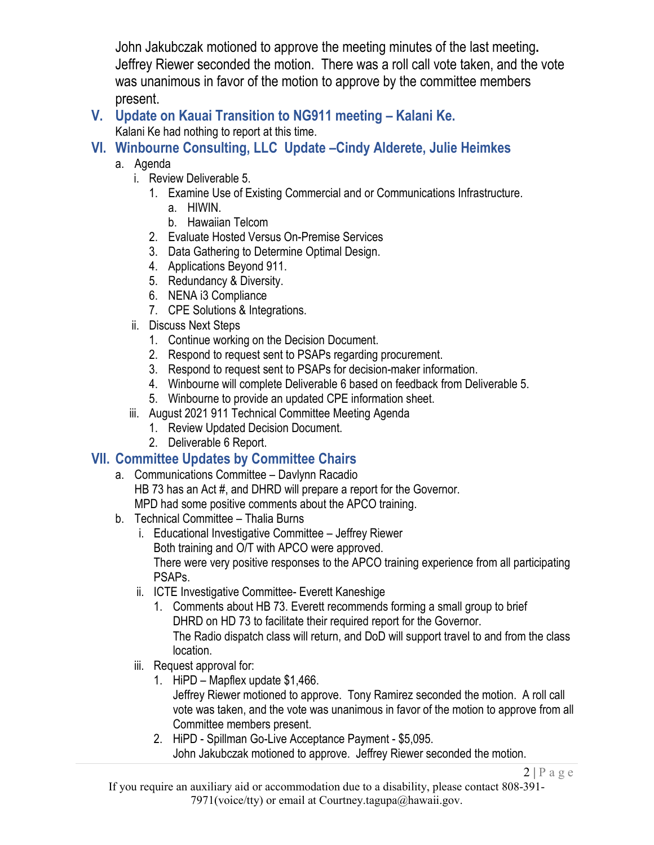John Jakubczak motioned to approve the meeting minutes of the last meeting**.** Jeffrey Riewer seconded the motion. There was a roll call vote taken, and the vote was unanimous in favor of the motion to approve by the committee members present.

# **V. Update on Kauai Transition to NG911 meeting – Kalani Ke.**

Kalani Ke had nothing to report at this time.

### **VI. Winbourne Consulting, LLC Update –Cindy Alderete, Julie Heimkes**

- a. Agenda
	- i. Review Deliverable 5.
		- 1. Examine Use of Existing Commercial and or Communications Infrastructure.
			- a. HIWIN.
			- b. Hawaiian Telcom
		- 2. Evaluate Hosted Versus On-Premise Services
		- 3. Data Gathering to Determine Optimal Design.
		- 4. Applications Beyond 911.
		- 5. Redundancy & Diversity.
		- 6. NENA i3 Compliance
		- 7. CPE Solutions & Integrations.
	- ii. Discuss Next Steps
		- 1. Continue working on the Decision Document.
		- 2. Respond to request sent to PSAPs regarding procurement.
		- 3. Respond to request sent to PSAPs for decision-maker information.
		- 4. Winbourne will complete Deliverable 6 based on feedback from Deliverable 5.
		- 5. Winbourne to provide an updated CPE information sheet.
	- iii. August 2021 911 Technical Committee Meeting Agenda
		- 1. Review Updated Decision Document.
		- 2. Deliverable 6 Report.

# **VII. Committee Updates by Committee Chairs**

- a. Communications Committee Davlynn Racadio HB 73 has an Act #, and DHRD will prepare a report for the Governor. MPD had some positive comments about the APCO training.
- b. Technical Committee Thalia Burns
	- i. Educational Investigative Committee Jeffrey Riewer Both training and O/T with APCO were approved. There were very positive responses to the APCO training experience from all participating PSAPs.
	- ii. ICTE Investigative Committee- Everett Kaneshige
		- 1. Comments about HB 73. Everett recommends forming a small group to brief DHRD on HD 73 to facilitate their required report for the Governor. The Radio dispatch class will return, and DoD will support travel to and from the class location.
	- iii. Request approval for:
		- 1. HiPD Mapflex update \$1,466.

Jeffrey Riewer motioned to approve. Tony Ramirez seconded the motion. A roll call vote was taken, and the vote was unanimous in favor of the motion to approve from all Committee members present.

2. HiPD - Spillman Go-Live Acceptance Payment - \$5,095. John Jakubczak motioned to approve. Jeffrey Riewer seconded the motion.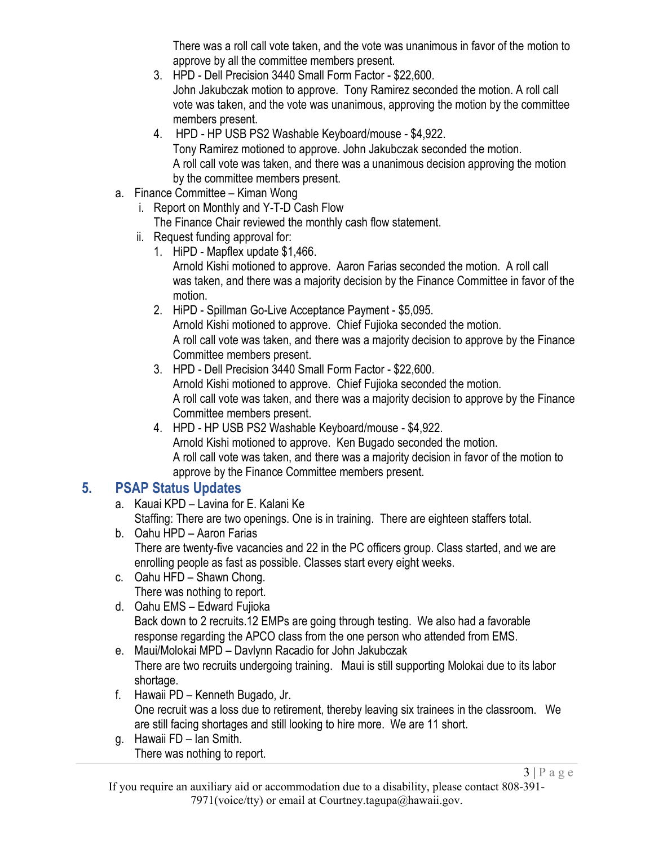There was a roll call vote taken, and the vote was unanimous in favor of the motion to approve by all the committee members present.

- 3. HPD Dell Precision 3440 Small Form Factor \$22,600. John Jakubczak motion to approve. Tony Ramirez seconded the motion. A roll call vote was taken, and the vote was unanimous, approving the motion by the committee members present.
- 4. HPD HP USB PS2 Washable Keyboard/mouse \$4,922.

Tony Ramirez motioned to approve. John Jakubczak seconded the motion. A roll call vote was taken, and there was a unanimous decision approving the motion by the committee members present.

- a. Finance Committee Kiman Wong
	- i. Report on Monthly and Y-T-D Cash Flow The Finance Chair reviewed the monthly cash flow statement.
	- ii. Request funding approval for:
		- 1. HiPD Mapflex update \$1,466.

Arnold Kishi motioned to approve. Aaron Farias seconded the motion. A roll call was taken, and there was a majority decision by the Finance Committee in favor of the motion.

- 2. HiPD Spillman Go-Live Acceptance Payment \$5,095. Arnold Kishi motioned to approve. Chief Fujioka seconded the motion. A roll call vote was taken, and there was a majority decision to approve by the Finance Committee members present.
- 3. HPD Dell Precision 3440 Small Form Factor \$22,600. Arnold Kishi motioned to approve. Chief Fujioka seconded the motion. A roll call vote was taken, and there was a majority decision to approve by the Finance Committee members present.
- 4. HPD HP USB PS2 Washable Keyboard/mouse \$4,922. Arnold Kishi motioned to approve. Ken Bugado seconded the motion. A roll call vote was taken, and there was a majority decision in favor of the motion to approve by the Finance Committee members present.

# **5. PSAP Status Updates**

- a. Kauai KPD Lavina for E. Kalani Ke Staffing: There are two openings. One is in training. There are eighteen staffers total.
- b. Oahu HPD Aaron Farias There are twenty-five vacancies and 22 in the PC officers group. Class started, and we are enrolling people as fast as possible. Classes start every eight weeks.
- c. Oahu HFD Shawn Chong. There was nothing to report.
- d. Oahu EMS Edward Fujioka Back down to 2 recruits.12 EMPs are going through testing. We also had a favorable response regarding the APCO class from the one person who attended from EMS.
- e. Maui/Molokai MPD Davlynn Racadio for John Jakubczak There are two recruits undergoing training. Maui is still supporting Molokai due to its labor shortage.
- f. Hawaii PD Kenneth Bugado, Jr. One recruit was a loss due to retirement, thereby leaving six trainees in the classroom. We are still facing shortages and still looking to hire more. We are 11 short.
- g. Hawaii FD Ian Smith. There was nothing to report.